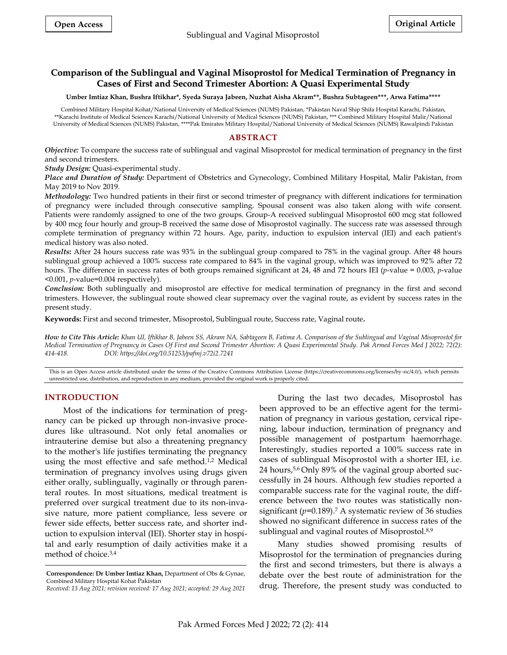# **Comparison of the Sublingual and Vaginal Misoprostol for Medical Termination of Pregnancy in Cases of First and Second Trimester Abortion: A Quasi Experimental Study**

**Umber Imtiaz Khan, Bushra Iftikhar\*, Syeda Suraya Jabeen, Nuzhat Aisha Akram\*\*, Bushra Subtageen\*\*\*, Arwa Fatima\*\*\*\***

Combined Military Hospital Kohat/National University of Medical Sciences (NUMS) Pakistan, \*Pakistan Naval Ship Shifa Hospital Karachi, Pakistan, \*\*Karachi Institute of Medical Sciences Karachi/National University of Medical Sciences (NUMS) Pakistan, \*\*\* Combined Military Hospital Malir/National University of Medical Sciences (NUMS) Pakistan, \*\*\*\*Pak Emirates Military Hospital/National University of Medical Sciences (NUMS) Rawalpindi Pakistan

### **ABSTRACT**

*Objective:* To compare the success rate of sublingual and vaginal Misoprostol for medical termination of pregnancy in the first and second trimesters.

*Study Design:* Quasi-experimental study.

*Place and Duration of Study:* Department of Obstetrics and Gynecology, Combined Military Hospital, Malir Pakistan, from May 2019 to Nov 2019.

*Methodology:* Two hundred patients in their first or second trimester of pregnancy with different indications for termination of pregnancy were included through consecutive sampling. Spousal consent was also taken along with wife consent. Patients were randomly assigned to one of the two groups. Group-A received sublingual Misoprostol 600 mcg stat followed by 400 mcg four hourly and group-B received the same dose of Misoprostol vaginally. The success rate was assessed through complete termination of pregnancy within 72 hours. Age, parity, induction to expulsion interval (IEI) and each patient's medical history was also noted.

*Results***:** After 24 hours success rate was 93% in the sublingual group compared to 78% in the vaginal group. After 48 hours sublingual group achieved a 100% success rate compared to 84% in the vaginal group, which was improved to 92% after 72 hours. The difference in success rates of both groups remained significant at 24, 48 and 72 hours IEI (*p*-value = 0.003, *p*-value <0.001, *p*-value=0.004 respectively).

*Conclusion:* Both sublingually and misoprostol are effective for medical termination of pregnancy in the first and second trimesters. However, the sublingual route showed clear supremacy over the vaginal route, as evident by success rates in the present study.

**Keywords:** First and second trimester, Misoprostol, Sublingual route, Success rate, Vaginal route**.**

*How to Cite This Article: Khan UI, Iftikhar B, Jabeen SS, Akram NA, Sabtageen B, Fatima A. Comparison of the Sublingual and Vaginal Misoprostol for Medical Termination of Pregnancy in Cases Of First and Second Trimester Abortion: A Quasi Experimental Study. Pak Armed Forces Med J 2022; 72(2): 414-418. DOI: https://doi.org/10.51253/pafmj.v72i2.7241*

This is an Open Access article distributed under the terms of the Creative Commons Attribution License (https://creativecommons.org/licenses/by-nc/4.0/), which permits unrestricted use, distribution, and reproduction in any medium, provided the original work is properly cited.

### **INTRODUCTION**

Most of the indications for termination of pregnancy can be picked up through non-invasive procedures like ultrasound. Not only fetal anomalies or intrauterine demise but also a threatening pregnancy to the mother's life justifies terminating the pregnancy using the most effective and safe method.<sup>1,2</sup> Medical termination of pregnancy involves using drugs given either orally, sublingually, vaginally or through parenteral routes. In most situations, medical treatment is preferred over surgical treatment due to its non-invasive nature, more patient compliance, less severe or fewer side effects, better success rate, and shorter induction to expulsion interval (IEI). Shorter stay in hospital and early resumption of daily activities make it a method of choice. 3,4

During the last two decades, Misoprostol has been approved to be an effective agent for the termination of pregnancy in various gestation, cervical ripening, labour induction, termination of pregnancy and possible management of postpartum haemorrhage. Interestingly, studies reported a 100% success rate in cases of sublingual Misoprostol with a shorter IEI, i.e. 24 hours, 5,6 Only 89% of the vaginal group aborted successfully in 24 hours. Although few studies reported a comparable success rate for the vaginal route, the difference between the two routes was statistically nonsignificant (*p*=0.189). <sup>7</sup> A systematic review of 36 studies showed no significant difference in success rates of the sublingual and vaginal routes of Misoprostol.<sup>8,9</sup>

Many studies showed promising results of Misoprostol for the termination of pregnancies during the first and second trimesters, but there is always a debate over the best route of administration for the drug. Therefore, the present study was conducted to

**Correspondence: Dr Umber Imtiaz Khan,** Department of Obs & Gynae, Combined Military Hospital Kohat Pakistan

*Received: 13 Aug 2021; revision received: 17 Aug 2021; accepted: 29 Aug 2021*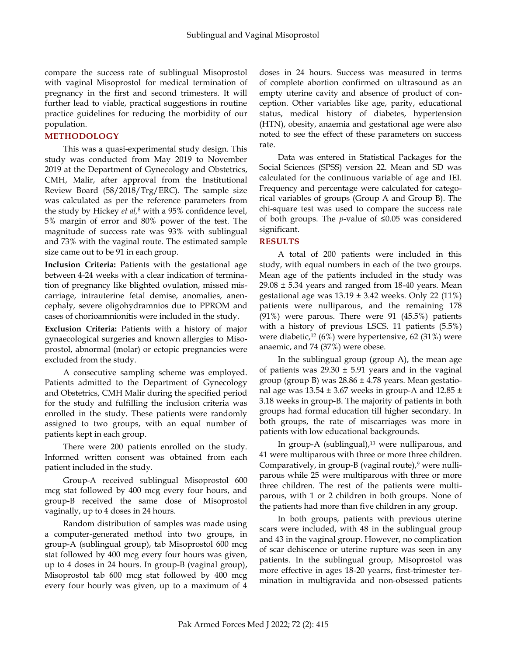compare the success rate of sublingual Misoprostol with vaginal Misoprostol for medical termination of pregnancy in the first and second trimesters. It will further lead to viable, practical suggestions in routine practice guidelines for reducing the morbidity of our population.

## **METHODOLOGY**

This was a quasi-experimental study design. This study was conducted from May 2019 to November 2019 at the Department of Gynecology and Obstetrics, CMH, Malir, after approval from the Institutional Review Board (58/2018/Trg/ERC). The sample size was calculated as per the reference parameters from the study by Hickey *et al,*<sup>8</sup> with a 95% confidence level, 5% margin of error and 80% power of the test. The magnitude of success rate was 93% with sublingual and 73% with the vaginal route. The estimated sample size came out to be 91 in each group.

**Inclusion Criteria:** Patients with the gestational age between 4-24 weeks with a clear indication of termination of pregnancy like blighted ovulation, missed miscarriage, intrauterine fetal demise, anomalies, anencephaly, severe oligohydramnios due to PPROM and cases of chorioamnionitis were included in the study.

**Exclusion Criteria:** Patients with a history of major gynaecological surgeries and known allergies to Misoprostol, abnormal (molar) or ectopic pregnancies were excluded from the study.

A consecutive sampling scheme was employed. Patients admitted to the Department of Gynecology and Obstetrics, CMH Malir during the specified period for the study and fulfilling the inclusion criteria was enrolled in the study. These patients were randomly assigned to two groups, with an equal number of patients kept in each group.

There were 200 patients enrolled on the study. Informed written consent was obtained from each patient included in the study.

Group-A received sublingual Misoprostol 600 mcg stat followed by 400 mcg every four hours, and group-B received the same dose of Misoprostol vaginally, up to 4 doses in 24 hours.

Random distribution of samples was made using a computer-generated method into two groups, in group-A (sublingual group), tab Misoprostol 600 mcg stat followed by 400 mcg every four hours was given, up to 4 doses in 24 hours. In group-B (vaginal group), Misoprostol tab 600 mcg stat followed by 400 mcg every four hourly was given, up to a maximum of 4

doses in 24 hours. Success was measured in terms of complete abortion confirmed on ultrasound as an empty uterine cavity and absence of product of conception. Other variables like age, parity, educational status, medical history of diabetes, hypertension (HTN), obesity, anaemia and gestational age were also noted to see the effect of these parameters on success rate.

Data was entered in Statistical Packages for the Social Sciences (SPSS) version 22. Mean and SD was calculated for the continuous variable of age and IEI. Frequency and percentage were calculated for categorical variables of groups (Group A and Group B). The chi-square test was used to compare the success rate of both groups. The *p*-value of ≤0.05 was considered significant.

### **RESULTS**

A total of 200 patients were included in this study, with equal numbers in each of the two groups. Mean age of the patients included in the study was  $29.08 \pm 5.34$  years and ranged from 18-40 years. Mean gestational age was  $13.19 \pm 3.42$  weeks. Only 22 (11%) patients were nulliparous, and the remaining 178 (91%) were parous. There were 91 (45.5%) patients with a history of previous LSCS. 11 patients (5.5%) were diabetic,<sup>12</sup> (6%) were hypertensive, 62 (31%) were anaemic, and 74 (37%) were obese.

In the sublingual group (group A), the mean age of patients was  $29.30 \pm 5.91$  years and in the vaginal group (group B) was 28.86 ± 4.78 years. Mean gestational age was  $13.54 \pm 3.67$  weeks in group-A and  $12.85 \pm 1.67$ 3.18 weeks in group-B. The majority of patients in both groups had formal education till higher secondary. In both groups, the rate of miscarriages was more in patients with low educational backgrounds.

In group-A (sublingual), $13$  were nulliparous, and 41 were multiparous with three or more three children. Comparatively, in group-B (vaginal route), $9$  were nulliparous while 25 were multiparous with three or more three children. The rest of the patients were multiparous, with 1 or 2 children in both groups. None of the patients had more than five children in any group.

In both groups, patients with previous uterine scars were included, with 48 in the sublingual group and 43 in the vaginal group. However, no complication of scar dehiscence or uterine rupture was seen in any patients. In the sublingual group, Misoprostol was more effective in ages 18-20 yearrs, first-trimester termination in multigravida and non-obsessed patients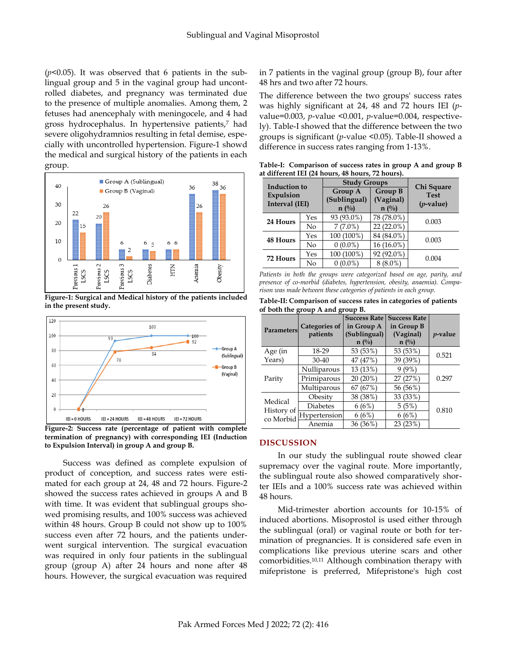$(p<0.05)$ . It was observed that 6 patients in the sublingual group and 5 in the vaginal group had uncontrolled diabetes, and pregnancy was terminated due to the presence of multiple anomalies. Among them, 2 fetuses had anencephaly with meningocele, and 4 had gross hydrocephalus. In hypertensive patients,<sup>7</sup> had severe oligohydramnios resulting in fetal demise, especially with uncontrolled hypertension. Figure-1 showd the medical and surgical history of the patients in each group.



**Figure-1: Surgical and Medical history of the patients included in the present study.**



**Figure-2: Success rate (percentage of patient with complete termination of pregnancy) with corresponding IEI (Induction to Expulsion Interval) in group A and group B.** 

Success was defined as complete expulsion of product of conception, and success rates were estimated for each group at 24, 48 and 72 hours. Figure-2 showed the success rates achieved in groups A and B with time. It was evident that sublingual groups showed promising results, and 100% success was achieved within 48 hours. Group B could not show up to 100% success even after 72 hours, and the patients underwent surgical intervention. The surgical evacuation was required in only four patients in the sublingual group (group A) after 24 hours and none after 48 hours. However, the surgical evacuation was required

in 7 patients in the vaginal group (group B), four after 48 hrs and two after 72 hours.

The difference between the two groups' success rates was highly significant at 24, 48 and 72 hours IEI (*p*value=0.003, *p*-value <0.001, *p*-value=0.004, respectively). Table-I showed that the difference between the two groups is significant (*p*-value <0.05). Table-II showed a difference in success rates ranging from 1-13%.

**Table-I: Comparison of success rates in group A and group B at different IEI (24 hours, 48 hours, 72 hours).** 

| <b>Induction to</b><br>Expulsion<br>Interval (IEI) |     | <b>Study Groups</b>                       |                                        | Chi Square                  |  |
|----------------------------------------------------|-----|-------------------------------------------|----------------------------------------|-----------------------------|--|
|                                                    |     | Group A<br>(Sublingual)<br>$n(^{0}/_{0})$ | Group B<br>(Vaginal)<br>$n(^{0}/_{0})$ | <b>Test</b><br>$(p$ -value) |  |
| 24 Hours                                           | Yes | 93 (93.0%)                                | 78 (78.0%)                             | 0.003                       |  |
|                                                    | No  | $7(7.0\%)$                                | $22(22.0\%)$                           |                             |  |
| <b>48 Hours</b>                                    | Yes | 100 (100%)                                | 84 (84.0%)                             | 0.003                       |  |
|                                                    | No  | $0(0.0\%)$                                | 16 (16.0%)                             |                             |  |
| 72 Hours                                           | Yes | 100 (100%)                                | 92 (92.0%)                             | 0.004                       |  |
|                                                    | No  | $0(0.0\%)$                                | $(8.0\%$                               |                             |  |

*Patients in both the groups were categorized based on age, parity, and presence of co-morbid (diabetes, hypertension, obesity, anaemia). Comparison was made between these categories of patients in each group.*

| Table-II: Comparison of success rates in categories of patients |
|-----------------------------------------------------------------|
| of both the group A and group B.                                |

| <b>Parameters</b>                  | <b>Categories of</b><br>patients | <b>Success Rate</b><br>in Group A<br>(Sublingual)<br>$n(^{0}/_{0})$ | <b>Success Rate</b><br>in Group B<br>(Vaginal)<br>$n(^{0}/_{0})$ | <i>p</i> -value |  |
|------------------------------------|----------------------------------|---------------------------------------------------------------------|------------------------------------------------------------------|-----------------|--|
| Age (in                            | 18-29                            | 53 (53%)                                                            | 53 (53%)                                                         | 0.521           |  |
| Years)                             | 30-40                            | 47 (47%)                                                            | 39 (39%)                                                         |                 |  |
| Parity                             | Nulliparous                      | 13 (13%)                                                            | $9(9\%)$                                                         |                 |  |
|                                    | Primiparous                      | 20 (20%)                                                            | 27 (27%)                                                         | 0.297           |  |
|                                    | Multiparous                      | 67 (67%)                                                            | 56 (56%)                                                         |                 |  |
| Medical<br>History of<br>co Morbid | Obesity                          | 38 (38%)                                                            | 33 (33%)                                                         | 0.810           |  |
|                                    | <b>Diabetes</b>                  | 6(6%)                                                               | 5(5%)                                                            |                 |  |
|                                    | Hypertension                     | 6(6%)                                                               | 6(6%)                                                            |                 |  |
|                                    | Anemia                           | 36 (36%)                                                            | 23(23%)                                                          |                 |  |

#### **DISCUSSION**

In our study the sublingual route showed clear supremacy over the vaginal route. More importantly, the sublingual route also showed comparatively shorter IEIs and a 100% success rate was achieved within 48 hours.

Mid-trimester abortion accounts for 10-15% of induced abortions. Misoprostol is used either through the sublingual (oral) or vaginal route or both for termination of pregnancies. It is considered safe even in complications like previous uterine scars and other comorbidities.10,11 Although combination therapy with mifepristone is preferred, Mifepristone's high cost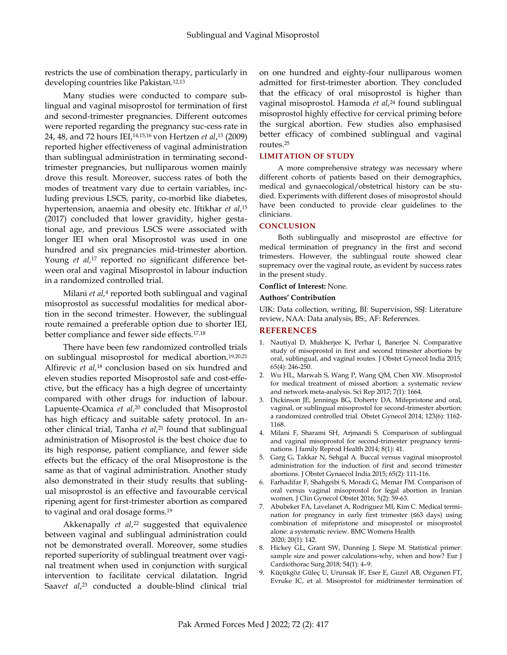restricts the use of combination therapy, particularly in developing countries like Pakistan.12,13

Many studies were conducted to compare sublingual and vaginal misoprostol for termination of first and second-trimester pregnancies. Different outcomes were reported regarding the pregnancy suc-cess rate in 24, 48, and 72 hours IEI, 14,15,16 von Hertzen *et al*, <sup>13</sup> (2009) reported higher effectiveness of vaginal administration than sublingual administration in terminating secondtrimester pregnancies, but nulliparous women mainly drove this result. Moreover, success rates of both the modes of treatment vary due to certain variables, including previous LSCS, parity, co-morbid like diabetes, hypertension, anaemia and obesity etc. Iftikhar *et al*, 15 (2017) concluded that lower gravidity, higher gestational age, and previous LSCS were associated with longer IEI when oral Misoprostol was used in one hundred and six pregnancies mid-trimester abortion. Young *et al*,<sup>17</sup> reported no significant difference between oral and vaginal Misoprostol in labour induction in a randomized controlled trial.

Milani *et al,* <sup>4</sup> reported both sublingual and vaginal misoprostol as successful modalities for medical abortion in the second trimester. However, the sublingual route remained a preferable option due to shorter IEI, better compliance and fewer side effects.17,18

There have been few randomized controlled trials on sublingual misoprostol for medical abortion.19,20,21 Alfirevic *et al,*<sup>18</sup> conclusion based on six hundred and eleven studies reported Misoprostol safe and cost-effective, but the efficacy has a high degree of uncertainty compared with other drugs for induction of labour. Lapuente-Ocamica *et al*, <sup>20</sup> concluded that Misoprostol has high efficacy and suitable safety protocol. In another clinical trial, Tanha *et al,*<sup>21</sup> found that sublingual administration of Misoprostol is the best choice due to its high response, patient compliance, and fewer side effects but the efficacy of the oral Misoprostone is the same as that of vaginal administration. Another study also demonstrated in their study results that sublingual misoprostol is an effective and favourable cervical ripening agent for first-trimester abortion as compared to vaginal and oral dosage forms.<sup>19</sup>

Akkenapally *et al*, <sup>22</sup> suggested that equivalence between vaginal and sublingual administration could not be demonstrated overall. Moreover, some studies reported superiority of sublingual treatment over vaginal treatment when used in conjunction with surgical intervention to facilitate cervical dilatation. [Ingrid](https://pubmed.ncbi.nlm.nih.gov/?term=S%C3%A4%C3%A4v+I&cauthor_id=25840429)  [Saav](https://pubmed.ncbi.nlm.nih.gov/?term=S%C3%A4%C3%A4v+I&cauthor_id=25840429)*et al*, <sup>23</sup> conducted a double-blind clinical trial on one hundred and eighty-four nulliparous women admitted for first-trimester abortion. They concluded that the efficacy of oral misoprostol is higher than vaginal misoprostol. Hamoda *et al*, <sup>24</sup> found sublingual misoprostol highly effective for cervical priming before the surgical abortion. Few studies also emphasised better efficacy of combined sublingual and vaginal routes. 25

#### **LIMITATION OF STUDY**

A more comprehensive strategy was necessary where different cohorts of patients based on their demographics, medical and gynaecological/obstetrical history can be studied. Experiments with different doses of misoprostol should have been conducted to provide clear guidelines to the clinicians.

#### **CONCLUSION**

Both sublingually and misoprostol are effective for medical termination of pregnancy in the first and second trimesters. However, the sublingual route showed clear supremacy over the vaginal route, as evident by success rates in the present study.

#### **Conflict of Interest:** None.

#### **Authors' Contribution**

UIK: Data collection, writing, BI: Supervision, SSJ: Literature review, NAA: Data analysis, BS:, AF: References.

#### **REFERENCES**

- 1. Nautiyal D, Mukherjee K, Perhar I, Banerjee N. Comparative study of misoprostol in first and second trimester abortions by oral, sublingual, and vaginal routes. J Obstet Gynecol India 2015; 65(4): 246-250.
- 2. Wu HL, Marwah S, Wang P, Wang QM, Chen XW. Misoprostol for medical treatment of missed abortion: a systematic review and network meta-analysis. Sci Rep 2017; 7(1): 1664.
- 3. Dickinson JE, Jennings BG, Doherty DA. Mifepristone and oral, vaginal, or sublingual misoprostol for second-trimester abortion: a randomized controlled trial. Obstet Gynecol 2014; 123(6): 1162- 1168.
- 4. Milani F, Sharami SH, Arjmandi S. Comparison of sublingual and vaginal misoprostol for second-trimester pregnancy terminations. J family Reprod Health 2014; 8(1): 41.
- 5. Garg G, Takkar N, Sehgal A. Buccal versus vaginal misoprostol administration for the induction of first and second trimester abortions. J Obstet Gynaecol India 2015; 65(2): 111-116.
- 6. Farhadifar F, Shahgeibi S, Moradi G, Memar FM. Comparison of oral versus vaginal misoprostol for legal abortion in Iranian women. J Clin Gynecol Obstet 2016; 5(2): 59-63.
- 7. Abubeker FA, Lavelanet A, Rodriguez MI, Kim C. Medical termination for pregnancy in early first trimester (≤63 days) using combination of mifepristone and misoprostol or misoprostol alone: a systematic review. BMC Womens Health 2020; 20(1): 142.
- 8. Hickey GL, Grant SW, Dunning J, Siepe M. Statistical primer: sample size and power calculations-why, when and how? Eur J Cardiothorac Surg 2018; 54(1): 4–9.
- 9. Küçükgöz Güleç U, Urunsak IF, Eser E, Guzel AB, Ozgunen FT, Evruke IC, et al. Misoprostol for midtrimester termination of